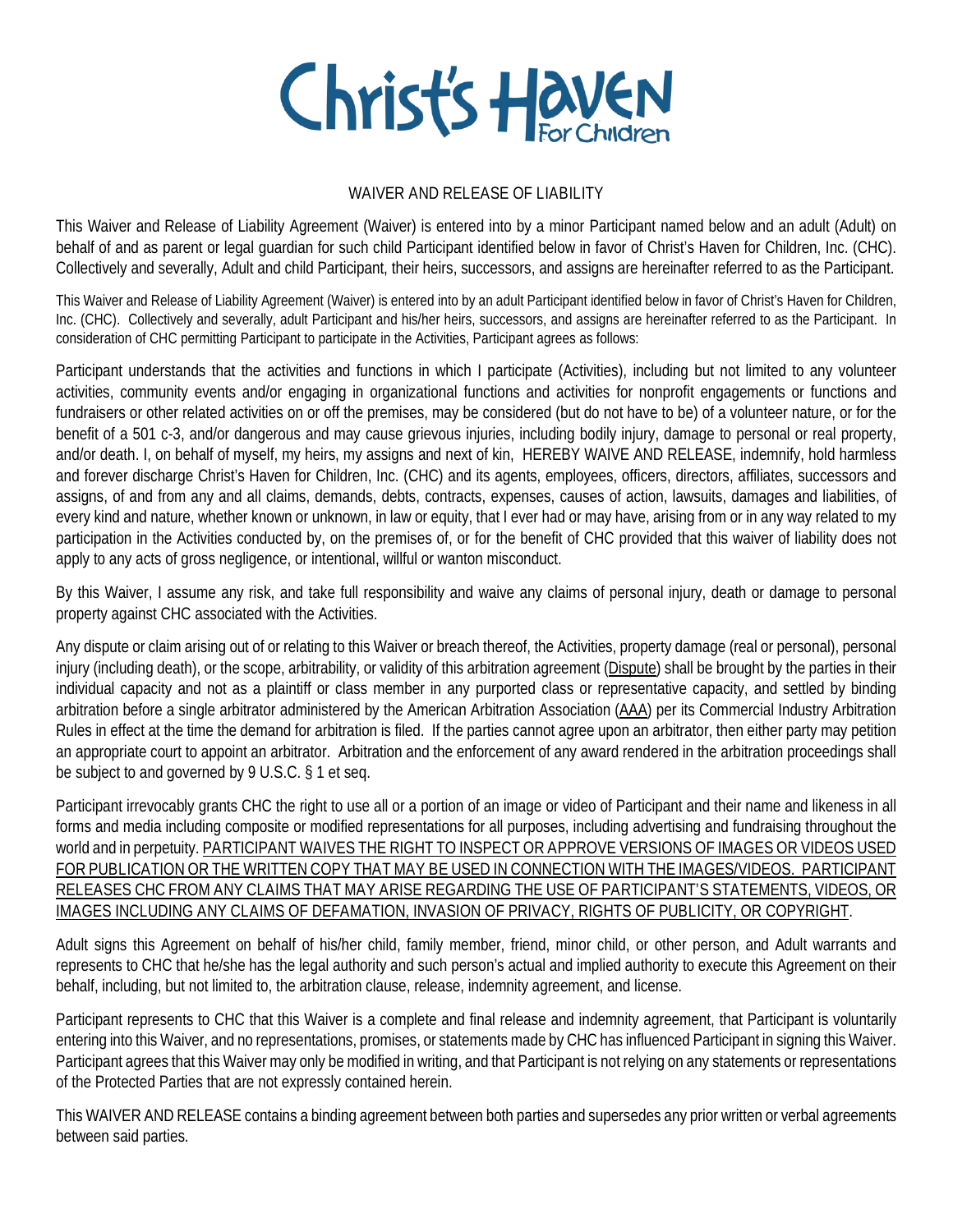

## WAIVER AND RELEASE OF LIABILITY

This Waiver and Release of Liability Agreement (Waiver) is entered into by a minor Participant named below and an adult (Adult) on behalf of and as parent or legal guardian for such child Participant identified below in favor of Christ's Haven for Children, Inc. (CHC). Collectively and severally, Adult and child Participant, their heirs, successors, and assigns are hereinafter referred to as the Participant.

This Waiver and Release of Liability Agreement (Waiver) is entered into by an adult Participant identified below in favor of Christ's Haven for Children, Inc. (CHC). Collectively and severally, adult Participant and his/her heirs, successors, and assigns are hereinafter referred to as the Participant. In consideration of CHC permitting Participant to participate in the Activities, Participant agrees as follows:

Participant understands that the activities and functions in which I participate (Activities), including but not limited to any volunteer activities, community events and/or engaging in organizational functions and activities for nonprofit engagements or functions and fundraisers or other related activities on or off the premises, may be considered (but do not have to be) of a volunteer nature, or for the benefit of a 501 c-3, and/or dangerous and may cause grievous injuries, including bodily injury, damage to personal or real property, and/or death. I, on behalf of myself, my heirs, my assigns and next of kin, HEREBY WAIVE AND RELEASE, indemnify, hold harmless and forever discharge Christ's Haven for Children, Inc. (CHC) and its agents, employees, officers, directors, affiliates, successors and assigns, of and from any and all claims, demands, debts, contracts, expenses, causes of action, lawsuits, damages and liabilities, of every kind and nature, whether known or unknown, in law or equity, that I ever had or may have, arising from or in any way related to my participation in the Activities conducted by, on the premises of, or for the benefit of CHC provided that this waiver of liability does not apply to any acts of gross negligence, or intentional, willful or wanton misconduct.

By this Waiver, I assume any risk, and take full responsibility and waive any claims of personal injury, death or damage to personal property against CHC associated with the Activities.

Any dispute or claim arising out of or relating to this Waiver or breach thereof, the Activities, property damage (real or personal), personal injury (including death), or the scope, arbitrability, or validity of this arbitration agreement (Dispute) shall be brought by the parties in their individual capacity and not as a plaintiff or class member in any purported class or representative capacity, and settled by binding arbitration before a single arbitrator administered by the American Arbitration Association (AAA) per its Commercial Industry Arbitration Rules in effect at the time the demand for arbitration is filed. If the parties cannot agree upon an arbitrator, then either party may petition an appropriate court to appoint an arbitrator. Arbitration and the enforcement of any award rendered in the arbitration proceedings shall be subject to and governed by 9 U.S.C. § 1 et seq.

Participant irrevocably grants CHC the right to use all or a portion of an image or video of Participant and their name and likeness in all forms and media including composite or modified representations for all purposes, including advertising and fundraising throughout the world and in perpetuity. PARTICIPANT WAIVES THE RIGHT TO INSPECT OR APPROVE VERSIONS OF IMAGES OR VIDEOS USED FOR PUBLICATION OR THE WRITTEN COPY THAT MAY BE USED IN CONNECTION WITH THE IMAGES/VIDEOS. PARTICIPANT RELEASES CHC FROM ANY CLAIMS THAT MAY ARISE REGARDING THE USE OF PARTICIPANT'S STATEMENTS, VIDEOS, OR IMAGES INCLUDING ANY CLAIMS OF DEFAMATION, INVASION OF PRIVACY, RIGHTS OF PUBLICITY, OR COPYRIGHT.

Adult signs this Agreement on behalf of his/her child, family member, friend, minor child, or other person, and Adult warrants and represents to CHC that he/she has the legal authority and such person's actual and implied authority to execute this Agreement on their behalf, including, but not limited to, the arbitration clause, release, indemnity agreement, and license.

Participant represents to CHC that this Waiver is a complete and final release and indemnity agreement, that Participant is voluntarily entering into this Waiver, and no representations, promises, or statements made by CHC has influenced Participant in signing this Waiver. Participant agrees that this Waiver may only be modified in writing, and that Participant is not relying on any statements or representations of the Protected Parties that are not expressly contained herein.

This WAIVER AND RELEASE contains a binding agreement between both parties and supersedes any prior written or verbal agreements between said parties.